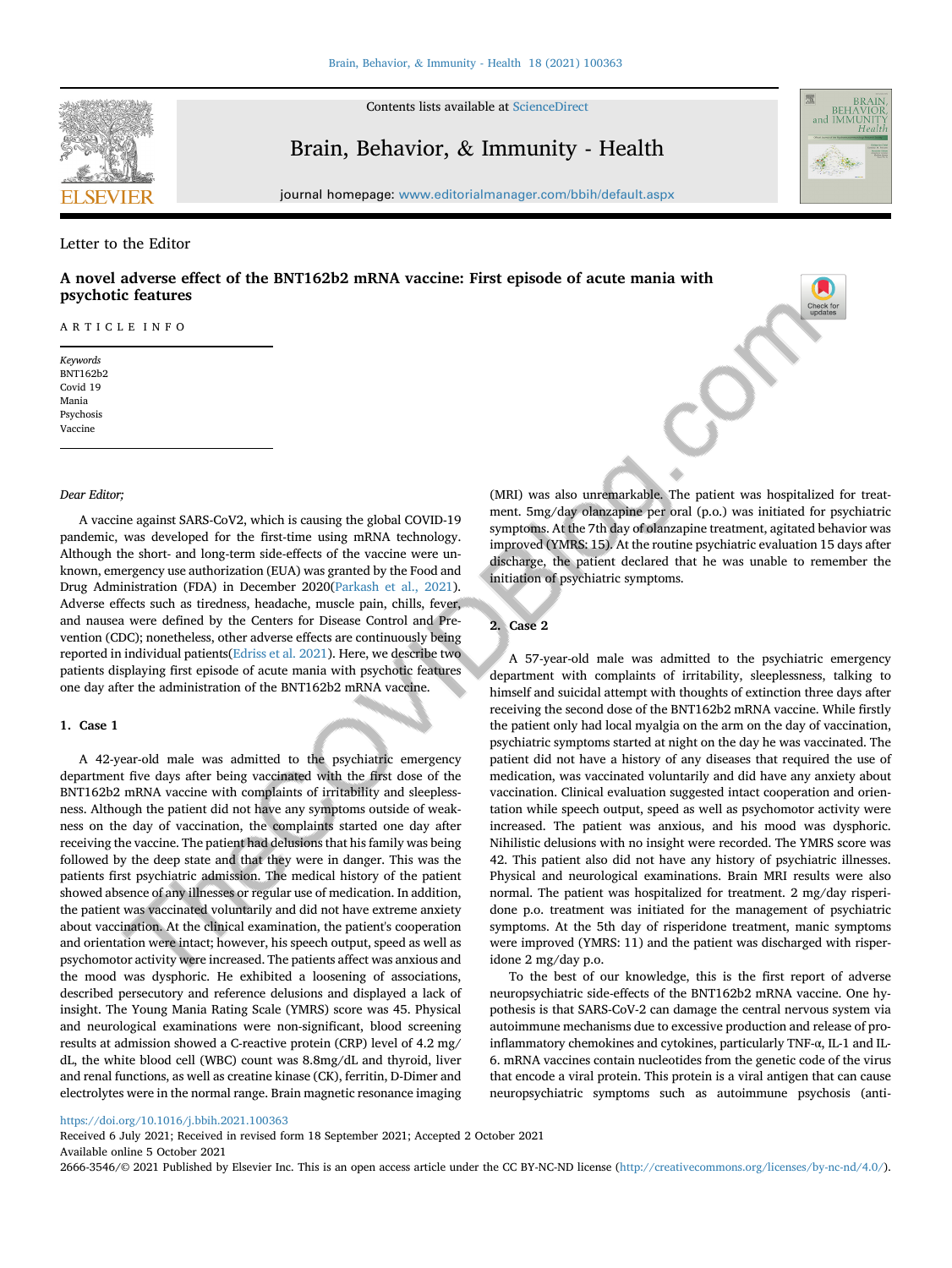

Contents lists available at [ScienceDirect](www.sciencedirect.com/science/journal/26663546)

# Brain, Behavior, & Immunity - Health



journal homepage: <www.editorialmanager.com/bbih/default.aspx>

### Letter to the Editor

# A novel adverse effect of the BNT162b2 mRNA vaccine: First episode of acute mania with psychotic features

ARTICLE INFO

Keywords BNT162b2 Covid 19 Mania Psychosis Vaccine

## Dear Editor;

A vaccine against SARS-CoV2, which is causing the global COVID-19 pandemic, was developed for the first-time using mRNA technology. Although the short- and long-term side-effects of the vaccine were unknown, emergency use authorization (EUA) was granted by the Food and Drug Administration (FDA) in December 2020([Parkash et al., 2021\)](#page-1-0). Adverse effects such as tiredness, headache, muscle pain, chills, fever, and nausea were defined by the Centers for Disease Control and Prevention (CDC); nonetheless, other adverse effects are continuously being reported in individual patients([Edriss et al. 2021](#page-1-1)). Here, we describe two patients displaying first episode of acute mania with psychotic features one day after the administration of the BNT162b2 mRNA vaccine.

## 1. Case 1

A 42-year-old male was admitted to the psychiatric emergency department five days after being vaccinated with the first dose of the BNT162b2 mRNA vaccine with complaints of irritability and sleeplessness. Although the patient did not have any symptoms outside of weakness on the day of vaccination, the complaints started one day after receiving the vaccine. The patient had delusions that his family was being followed by the deep state and that they were in danger. This was the patients first psychiatric admission. The medical history of the patient showed absence of any illnesses or regular use of medication. In addition, the patient was vaccinated voluntarily and did not have extreme anxiety about vaccination. At the clinical examination, the patient's cooperation and orientation were intact; however, his speech output, speed as well as psychomotor activity were increased. The patients affect was anxious and the mood was dysphoric. He exhibited a loosening of associations, described persecutory and reference delusions and displayed a lack of insight. The Young Mania Rating Scale (YMRS) score was 45. Physical and neurological examinations were non-significant, blood screening results at admission showed a C-reactive protein (CRP) level of 4.2 mg/ dL, the white blood cell (WBC) count was 8.8mg/dL and thyroid, liver and renal functions, as well as creatine kinase (CK), ferritin, D-Dimer and electrolytes were in the normal range. Brain magnetic resonance imaging

(MRI) was also unremarkable. The patient was hospitalized for treatment. 5mg/day olanzapine per oral (p.o.) was initiated for psychiatric symptoms. At the 7th day of olanzapine treatment, agitated behavior was improved (YMRS: 15). At the routine psychiatric evaluation 15 days after discharge, the patient declared that he was unable to remember the initiation of psychiatric symptoms.

#### 2. Case 2

A 57-year-old male was admitted to the psychiatric emergency department with complaints of irritability, sleeplessness, talking to himself and suicidal attempt with thoughts of extinction three days after receiving the second dose of the BNT162b2 mRNA vaccine. While firstly the patient only had local myalgia on the arm on the day of vaccination, psychiatric symptoms started at night on the day he was vaccinated. The patient did not have a history of any diseases that required the use of medication, was vaccinated voluntarily and did have any anxiety about vaccination. Clinical evaluation suggested intact cooperation and orientation while speech output, speed as well as psychomotor activity were increased. The patient was anxious, and his mood was dysphoric. Nihilistic delusions with no insight were recorded. The YMRS score was 42. This patient also did not have any history of psychiatric illnesses. Physical and neurological examinations. Brain MRI results were also normal. The patient was hospitalized for treatment. 2 mg/day risperidone p.o. treatment was initiated for the management of psychiatric symptoms. At the 5th day of risperidone treatment, manic symptoms were improved (YMRS: 11) and the patient was discharged with risperidone 2 mg/day p.o.

To the best of our knowledge, this is the first report of adverse neuropsychiatric side-effects of the BNT162b2 mRNA vaccine. One hypothesis is that SARS-CoV-2 can damage the central nervous system via autoimmune mechanisms due to excessive production and release of proinflammatory chemokines and cytokines, particularly TNF-α, IL-1 and IL-6. mRNA vaccines contain nucleotides from the genetic code of the virus that encode a viral protein. This protein is a viral antigen that can cause neuropsychiatric symptoms such as autoimmune psychosis (anti-

# <https://doi.org/10.1016/j.bbih.2021.100363>

Received 6 July 2021; Received in revised form 18 September 2021; Accepted 2 October 2021 Available online 5 October 2021

2666-3546/© 2021 Published by Elsevier Inc. This is an open access article under the CC BY-NC-ND license (<http://creativecommons.org/licenses/by-nc-nd/4.0/>).